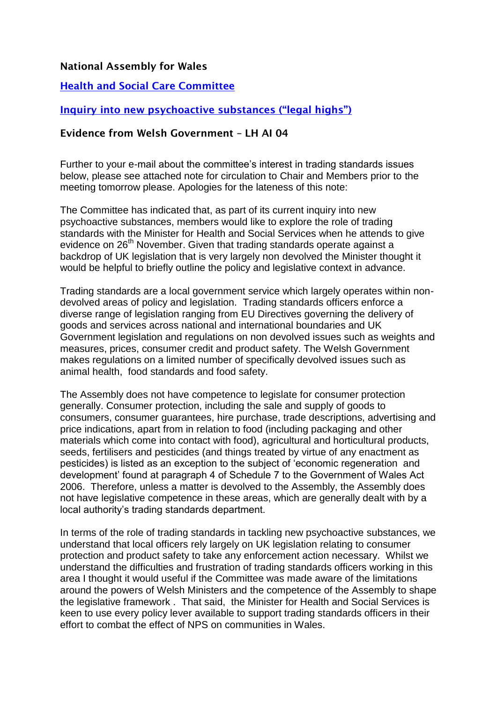## **National Assembly for Wales**

## **[Health and Social Care Committee](http://www.senedd.assemblywales.org/mgCommitteeDetails.aspx?ID=227)**

## **Inqui[ry into new psychoactive substances \("legal highs"\)](file://GBA01/RW_NAFILE/OPO/Committees/Committees%20(2011-2016)/Health%20&%20Social%20Care/Inquiries/23%20Legal%20Highs/01%20Initial%20inquiry/01%20Consultation/Additional%20Information/mgIssueHistoryHome.aspx%3fIId=10562)**

## **Evidence from Welsh Government – LH AI 04**

Further to your e-mail about the committee's interest in trading standards issues below, please see attached note for circulation to Chair and Members prior to the meeting tomorrow please. Apologies for the lateness of this note:

The Committee has indicated that, as part of its current inquiry into new psychoactive substances, members would like to explore the role of trading standards with the Minister for Health and Social Services when he attends to give evidence on 26<sup>th</sup> November. Given that trading standards operate against a backdrop of UK legislation that is very largely non devolved the Minister thought it would be helpful to briefly outline the policy and legislative context in advance.

Trading standards are a local government service which largely operates within nondevolved areas of policy and legislation. Trading standards officers enforce a diverse range of legislation ranging from EU Directives governing the delivery of goods and services across national and international boundaries and UK Government legislation and regulations on non devolved issues such as weights and measures, prices, consumer credit and product safety. The Welsh Government makes regulations on a limited number of specifically devolved issues such as animal health, food standards and food safety.

The Assembly does not have competence to legislate for consumer protection generally. Consumer protection, including the sale and supply of goods to consumers, consumer guarantees, hire purchase, trade descriptions, advertising and price indications, apart from in relation to food (including packaging and other materials which come into contact with food), agricultural and horticultural products, seeds, fertilisers and pesticides (and things treated by virtue of any enactment as pesticides) is listed as an exception to the subject of 'economic regeneration and development' found at paragraph 4 of Schedule 7 to the Government of Wales Act 2006. Therefore, unless a matter is devolved to the Assembly, the Assembly does not have legislative competence in these areas, which are generally dealt with by a local authority's trading standards department.

In terms of the role of trading standards in tackling new psychoactive substances, we understand that local officers rely largely on UK legislation relating to consumer protection and product safety to take any enforcement action necessary. Whilst we understand the difficulties and frustration of trading standards officers working in this area I thought it would useful if the Committee was made aware of the limitations around the powers of Welsh Ministers and the competence of the Assembly to shape the legislative framework . That said, the Minister for Health and Social Services is keen to use every policy lever available to support trading standards officers in their effort to combat the effect of NPS on communities in Wales.